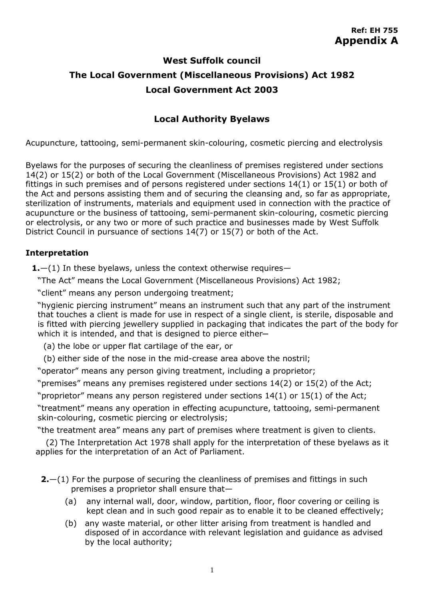## **West Suffolk council The Local Government (Miscellaneous Provisions) Act 1982 Local Government Act 2003**

## **Local Authority Byelaws**

Acupuncture, tattooing, semi-permanent skin-colouring, cosmetic piercing and electrolysis

Byelaws for the purposes of securing the cleanliness of premises registered under sections 14(2) or 15(2) or both of the Local Government (Miscellaneous Provisions) Act 1982 and fittings in such premises and of persons registered under sections 14(1) or 15(1) or both of the Act and persons assisting them and of securing the cleansing and, so far as appropriate, sterilization of instruments, materials and equipment used in connection with the practice of acupuncture or the business of tattooing, semi-permanent skin-colouring, cosmetic piercing or electrolysis, or any two or more of such practice and businesses made by West Suffolk District Council in pursuance of sections 14(7) or 15(7) or both of the Act.

## **Interpretation**

**1.**—(1) In these byelaws, unless the context otherwise requires—

"The Act" means the Local Government (Miscellaneous Provisions) Act 1982;

"client" means any person undergoing treatment;

"hygienic piercing instrument" means an instrument such that any part of the instrument that touches a client is made for use in respect of a single client, is sterile, disposable and is fitted with piercing jewellery supplied in packaging that indicates the part of the body for which it is intended, and that is designed to pierce either-

(a) the lobe or upper flat cartilage of the ear, or

(b) either side of the nose in the mid-crease area above the nostril;

"operator" means any person giving treatment, including a proprietor;

"premises" means any premises registered under sections 14(2) or 15(2) of the Act;

"proprietor" means any person registered under sections 14(1) or 15(1) of the Act;

"treatment" means any operation in effecting acupuncture, tattooing, semi-permanent skin-colouring, cosmetic piercing or electrolysis;

"the treatment area" means any part of premises where treatment is given to clients.

(2) The Interpretation Act 1978 shall apply for the interpretation of these byelaws as it applies for the interpretation of an Act of Parliament.

- **2.**—(1) For the purpose of securing the cleanliness of premises and fittings in such premises a proprietor shall ensure that—
	- (a) any internal wall, door, window, partition, floor, floor covering or ceiling is kept clean and in such good repair as to enable it to be cleaned effectively;
	- (b) any waste material, or other litter arising from treatment is handled and disposed of in accordance with relevant legislation and guidance as advised by the local authority;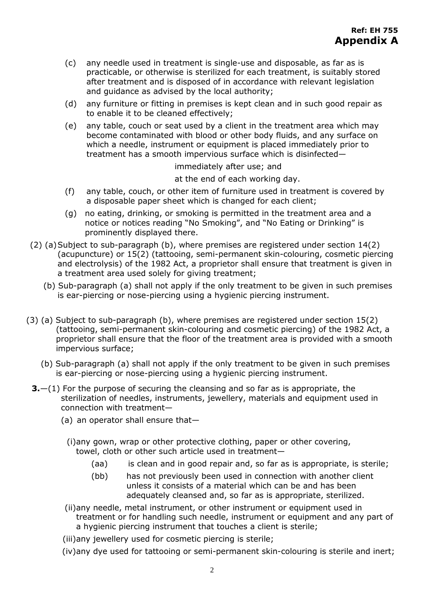- (c) any needle used in treatment is single-use and disposable, as far as is practicable, or otherwise is sterilized for each treatment, is suitably stored after treatment and is disposed of in accordance with relevant legislation and guidance as advised by the local authority;
- (d) any furniture or fitting in premises is kept clean and in such good repair as to enable it to be cleaned effectively;
- (e) any table, couch or seat used by a client in the treatment area which may become contaminated with blood or other body fluids, and any surface on which a needle, instrument or equipment is placed immediately prior to treatment has a smooth impervious surface which is disinfected—

immediately after use; and

at the end of each working day.

- (f) any table, couch, or other item of furniture used in treatment is covered by a disposable paper sheet which is changed for each client;
- (g) no eating, drinking, or smoking is permitted in the treatment area and a notice or notices reading "No Smoking", and "No Eating or Drinking" is prominently displayed there.
- (2) (a)Subject to sub-paragraph (b), where premises are registered under section 14(2) (acupuncture) or 15(2) (tattooing, semi-permanent skin-colouring, cosmetic piercing and electrolysis) of the 1982 Act, a proprietor shall ensure that treatment is given in a treatment area used solely for giving treatment;
	- (b) Sub-paragraph (a) shall not apply if the only treatment to be given in such premises is ear-piercing or nose-piercing using a hygienic piercing instrument.
- (3) (a) Subject to sub-paragraph (b), where premises are registered under section 15(2) (tattooing, semi-permanent skin-colouring and cosmetic piercing) of the 1982 Act, a proprietor shall ensure that the floor of the treatment area is provided with a smooth impervious surface;
	- (b) Sub-paragraph (a) shall not apply if the only treatment to be given in such premises is ear-piercing or nose-piercing using a hygienic piercing instrument.
	- **3.**—(1) For the purpose of securing the cleansing and so far as is appropriate, the sterilization of needles, instruments, jewellery, materials and equipment used in connection with treatment—
		- (a) an operator shall ensure that—
			- (i)any gown, wrap or other protective clothing, paper or other covering, towel, cloth or other such article used in treatment—
				- (aa) is clean and in good repair and, so far as is appropriate, is sterile;
				- (bb) has not previously been used in connection with another client unless it consists of a material which can be and has been adequately cleansed and, so far as is appropriate, sterilized.

(ii)any needle, metal instrument, or other instrument or equipment used in treatment or for handling such needle, instrument or equipment and any part of a hygienic piercing instrument that touches a client is sterile;

(iii)any jewellery used for cosmetic piercing is sterile;

(iv)any dye used for tattooing or semi-permanent skin-colouring is sterile and inert;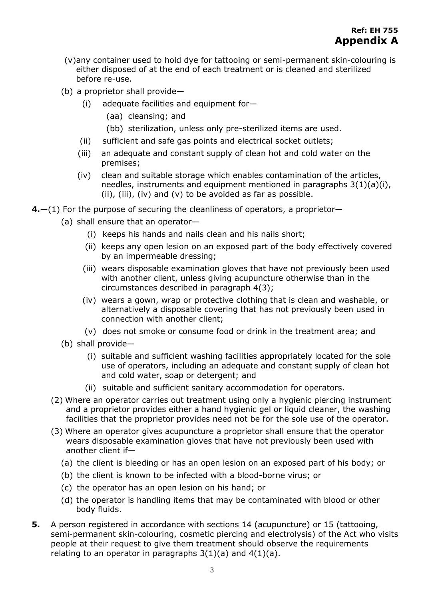- (v)any container used to hold dye for tattooing or semi-permanent skin-colouring is either disposed of at the end of each treatment or is cleaned and sterilized before re-use.
- (b) a proprietor shall provide—
	- (i) adequate facilities and equipment for—
		- (aa) cleansing; and
		- (bb) sterilization, unless only pre-sterilized items are used.
	- (ii) sufficient and safe gas points and electrical socket outlets;
	- (iii) an adequate and constant supply of clean hot and cold water on the premises;
	- (iv) clean and suitable storage which enables contamination of the articles, needles, instruments and equipment mentioned in paragraphs 3(1)(a)(i),  $(ii)$ ,  $(iii)$ ,  $(iv)$  and  $(v)$  to be avoided as far as possible.
- **4.**—(1) For the purpose of securing the cleanliness of operators, a proprietor—
	- (a) shall ensure that an operator—
		- (i) keeps his hands and nails clean and his nails short;
		- (ii) keeps any open lesion on an exposed part of the body effectively covered by an impermeable dressing;
		- (iii) wears disposable examination gloves that have not previously been used with another client, unless giving acupuncture otherwise than in the circumstances described in paragraph 4(3);
		- (iv) wears a gown, wrap or protective clothing that is clean and washable, or alternatively a disposable covering that has not previously been used in connection with another client;
		- (v) does not smoke or consume food or drink in the treatment area; and
	- (b) shall provide—
		- (i) suitable and sufficient washing facilities appropriately located for the sole use of operators, including an adequate and constant supply of clean hot and cold water, soap or detergent; and
		- (ii) suitable and sufficient sanitary accommodation for operators.
	- (2) Where an operator carries out treatment using only a hygienic piercing instrument and a proprietor provides either a hand hygienic gel or liquid cleaner, the washing facilities that the proprietor provides need not be for the sole use of the operator.
	- (3) Where an operator gives acupuncture a proprietor shall ensure that the operator wears disposable examination gloves that have not previously been used with another client if—
		- (a) the client is bleeding or has an open lesion on an exposed part of his body; or
		- (b) the client is known to be infected with a blood-borne virus; or
		- (c) the operator has an open lesion on his hand; or
		- (d) the operator is handling items that may be contaminated with blood or other body fluids.
- **5.** A person registered in accordance with sections 14 (acupuncture) or 15 (tattooing, semi-permanent skin-colouring, cosmetic piercing and electrolysis) of the Act who visits people at their request to give them treatment should observe the requirements relating to an operator in paragraphs  $3(1)(a)$  and  $4(1)(a)$ .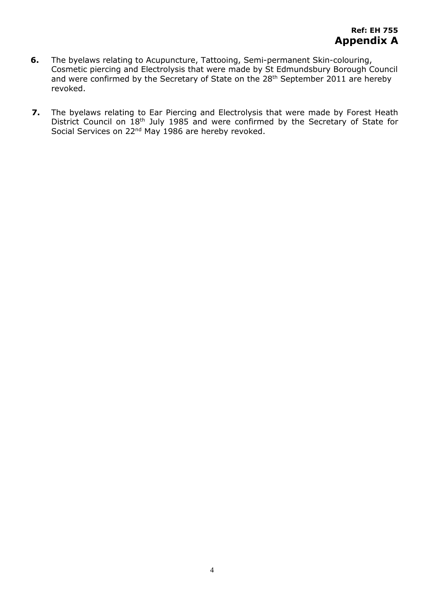- **6.** The byelaws relating to Acupuncture, Tattooing, Semi-permanent Skin-colouring, Cosmetic piercing and Electrolysis that were made by St Edmundsbury Borough Council and were confirmed by the Secretary of State on the 28<sup>th</sup> September 2011 are hereby revoked.
- **7.** The byelaws relating to Ear Piercing and Electrolysis that were made by Forest Heath District Council on 18<sup>th</sup> July 1985 and were confirmed by the Secretary of State for Social Services on 22<sup>nd</sup> May 1986 are hereby revoked.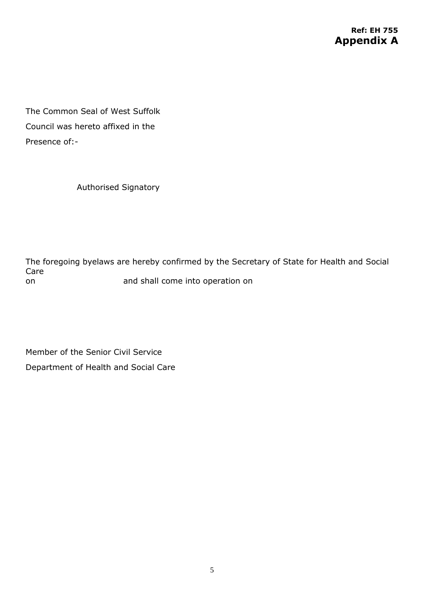The Common Seal of West Suffolk Council was hereto affixed in the Presence of:-

Authorised Signatory

The foregoing byelaws are hereby confirmed by the Secretary of State for Health and Social Care on and shall come into operation on

Member of the Senior Civil Service Department of Health and Social Care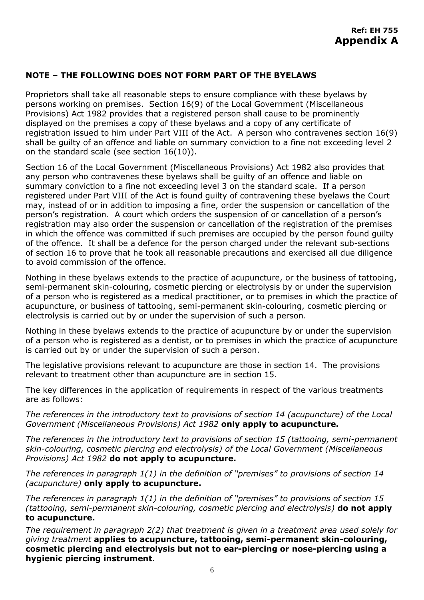## **NOTE – THE FOLLOWING DOES NOT FORM PART OF THE BYELAWS**

Proprietors shall take all reasonable steps to ensure compliance with these byelaws by persons working on premises. Section 16(9) of the Local Government (Miscellaneous Provisions) Act 1982 provides that a registered person shall cause to be prominently displayed on the premises a copy of these byelaws and a copy of any certificate of registration issued to him under Part VIII of the Act. A person who contravenes section 16(9) shall be guilty of an offence and liable on summary conviction to a fine not exceeding level 2 on the standard scale (see section 16(10)).

Section 16 of the Local Government (Miscellaneous Provisions) Act 1982 also provides that any person who contravenes these byelaws shall be guilty of an offence and liable on summary conviction to a fine not exceeding level 3 on the standard scale. If a person registered under Part VIII of the Act is found guilty of contravening these byelaws the Court may, instead of or in addition to imposing a fine, order the suspension or cancellation of the person's registration. A court which orders the suspension of or cancellation of a person's registration may also order the suspension or cancellation of the registration of the premises in which the offence was committed if such premises are occupied by the person found guilty of the offence. It shall be a defence for the person charged under the relevant sub-sections of section 16 to prove that he took all reasonable precautions and exercised all due diligence to avoid commission of the offence.

Nothing in these byelaws extends to the practice of acupuncture, or the business of tattooing, semi-permanent skin-colouring, cosmetic piercing or electrolysis by or under the supervision of a person who is registered as a medical practitioner, or to premises in which the practice of acupuncture, or business of tattooing, semi-permanent skin-colouring, cosmetic piercing or electrolysis is carried out by or under the supervision of such a person.

Nothing in these byelaws extends to the practice of acupuncture by or under the supervision of a person who is registered as a dentist, or to premises in which the practice of acupuncture is carried out by or under the supervision of such a person.

The legislative provisions relevant to acupuncture are those in section 14. The provisions relevant to treatment other than acupuncture are in section 15.

The key differences in the application of requirements in respect of the various treatments are as follows:

*The references in the introductory text to provisions of section 14 (acupuncture) of the Local Government (Miscellaneous Provisions) Act 1982* **only apply to acupuncture.**

*The references in the introductory text to provisions of section 15 (tattooing, semi-permanent skin-colouring, cosmetic piercing and electrolysis) of the Local Government (Miscellaneous Provisions) Act 1982* **do not apply to acupuncture.**

*The references in paragraph 1(1) in the definition of "premises" to provisions of section 14 (acupuncture)* **only apply to acupuncture.**

*The references in paragraph 1(1) in the definition of "premises" to provisions of section 15 (tattooing, semi-permanent skin-colouring, cosmetic piercing and electrolysis)* **do not apply to acupuncture.**

*The requirement in paragraph 2(2) that treatment is given in a treatment area used solely for giving treatment* **applies to acupuncture, tattooing, semi-permanent skin-colouring, cosmetic piercing and electrolysis but not to ear-piercing or nose-piercing using a hygienic piercing instrument**.